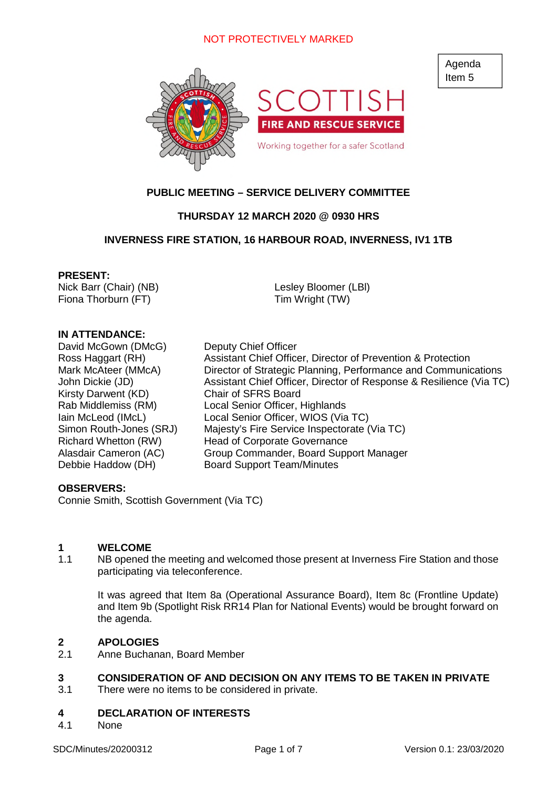

### **PUBLIC MEETING – SERVICE DELIVERY COMMITTEE**

### **THURSDAY 12 MARCH 2020 @ 0930 HRS**

#### **INVERNESS FIRE STATION, 16 HARBOUR ROAD, INVERNESS, IV1 1TB**

#### **PRESENT:**

Nick Barr (Chair) (NB) Fiona Thorburn (FT)

Lesley Bloomer (LBl) Tim Wright (TW)

#### **IN ATTENDANCE:**

David McGown (DMcG) Deputy Chief Officer Kirsty Darwent (KD) Chair of SFRS Board

Ross Haggart (RH) Assistant Chief Officer, Director of Prevention & Protection Mark McAteer (MMcA) Director of Strategic Planning, Performance and Communications John Dickie (JD) Assistant Chief Officer, Director of Response & Resilience (Via TC) Rab Middlemiss (RM) Local Senior Officer, Highlands Iain McLeod (IMcL) Local Senior Officer, WIOS (Via TC) Simon Routh-Jones (SRJ) Majesty's Fire Service Inspectorate (Via TC) Richard Whetton (RW) Head of Corporate Governance Alasdair Cameron (AC) Group Commander, Board Support Manager Debbie Haddow (DH) Board Support Team/Minutes

#### **OBSERVERS:**

Connie Smith, Scottish Government (Via TC)

#### **1 WELCOME**

1.1 NB opened the meeting and welcomed those present at Inverness Fire Station and those participating via teleconference.

It was agreed that Item 8a (Operational Assurance Board), Item 8c (Frontline Update) and Item 9b (Spotlight Risk RR14 Plan for National Events) would be brought forward on the agenda.

#### **2 APOLOGIES**

2.1 Anne Buchanan, Board Member

### **3 CONSIDERATION OF AND DECISION ON ANY ITEMS TO BE TAKEN IN PRIVATE**

3.1 There were no items to be considered in private.

### **4 DECLARATION OF INTERESTS**

4.1 None

Agenda Item 5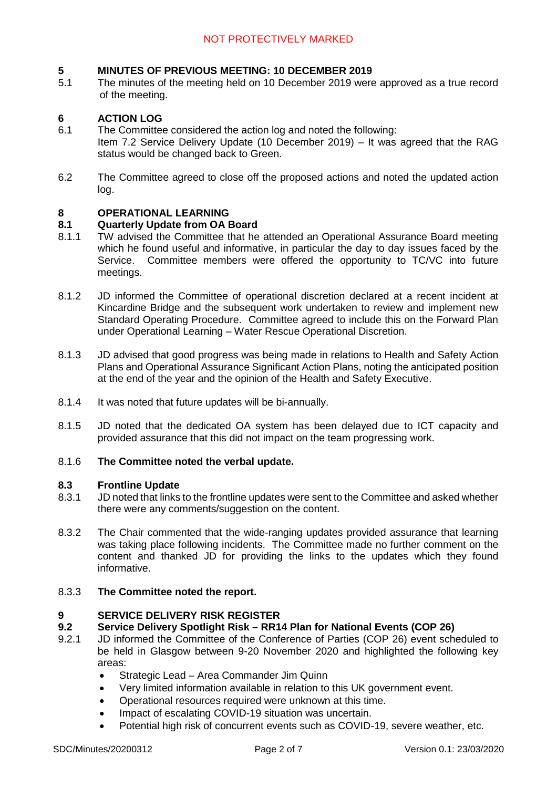### **5 MINUTES OF PREVIOUS MEETING: 10 DECEMBER 2019**

5.1 The minutes of the meeting held on 10 December 2019 were approved as a true record of the meeting.

### **6 ACTION LOG**

- 6.1 The Committee considered the action log and noted the following: Item 7.2 Service Delivery Update (10 December 2019) – It was agreed that the RAG status would be changed back to Green.
- 6.2 The Committee agreed to close off the proposed actions and noted the updated action log.

### **8 OPERATIONAL LEARNING**

#### **8.1 Quarterly Update from OA Board**

- 8.1.1 TW advised the Committee that he attended an Operational Assurance Board meeting which he found useful and informative, in particular the day to day issues faced by the Service. Committee members were offered the opportunity to TC/VC into future meetings.
- 8.1.2 JD informed the Committee of operational discretion declared at a recent incident at Kincardine Bridge and the subsequent work undertaken to review and implement new Standard Operating Procedure. Committee agreed to include this on the Forward Plan under Operational Learning – Water Rescue Operational Discretion.
- 8.1.3 JD advised that good progress was being made in relations to Health and Safety Action Plans and Operational Assurance Significant Action Plans, noting the anticipated position at the end of the year and the opinion of the Health and Safety Executive.
- 8.1.4 It was noted that future updates will be bi-annually.
- 8.1.5 JD noted that the dedicated OA system has been delayed due to ICT capacity and provided assurance that this did not impact on the team progressing work.

#### 8.1.6 **The Committee noted the verbal update.**

#### **8.3 Frontline Update**

- 8.3.1 JD noted that links to the frontline updates were sent to the Committee and asked whether there were any comments/suggestion on the content.
- 8.3.2 The Chair commented that the wide-ranging updates provided assurance that learning was taking place following incidents. The Committee made no further comment on the content and thanked JD for providing the links to the updates which they found informative.

#### 8.3.3 **The Committee noted the report.**

#### **9 SERVICE DELIVERY RISK REGISTER**

#### **9.2 Service Delivery Spotlight Risk – RR14 Plan for National Events (COP 26)**

- 9.2.1 JD informed the Committee of the Conference of Parties (COP 26) event scheduled to be held in Glasgow between 9-20 November 2020 and highlighted the following key areas:
	- Strategic Lead Area Commander Jim Quinn
	- Very limited information available in relation to this UK government event.
	- Operational resources required were unknown at this time.
	- Impact of escalating COVID-19 situation was uncertain.
	- Potential high risk of concurrent events such as COVID-19, severe weather, etc.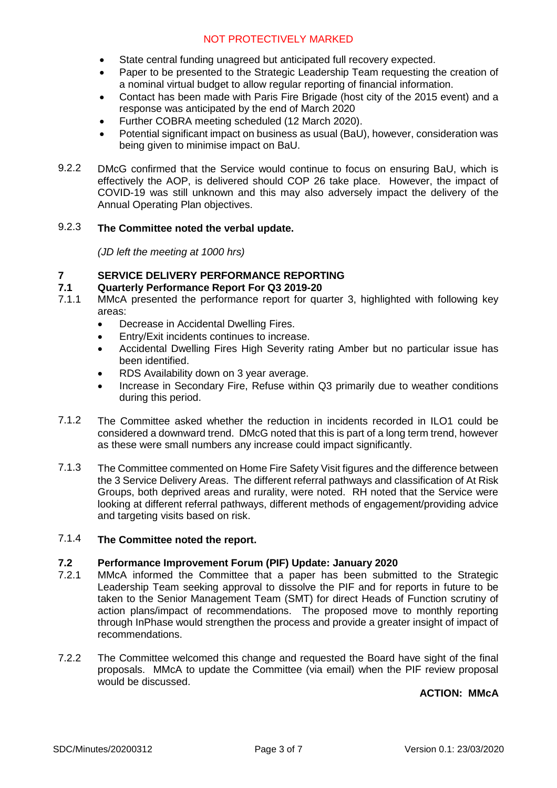- State central funding unagreed but anticipated full recovery expected.
- Paper to be presented to the Strategic Leadership Team requesting the creation of a nominal virtual budget to allow regular reporting of financial information.
- Contact has been made with Paris Fire Brigade (host city of the 2015 event) and a response was anticipated by the end of March 2020
- Further COBRA meeting scheduled (12 March 2020).
- Potential significant impact on business as usual (BaU), however, consideration was being given to minimise impact on BaU.
- 9.2.2 DMcG confirmed that the Service would continue to focus on ensuring BaU, which is effectively the AOP, is delivered should COP 26 take place. However, the impact of COVID-19 was still unknown and this may also adversely impact the delivery of the Annual Operating Plan objectives.

#### 9.2.3 **The Committee noted the verbal update.**

*(JD left the meeting at 1000 hrs)*

#### **7 SERVICE DELIVERY PERFORMANCE REPORTING**

#### **7.1 Quarterly Performance Report For Q3 2019-20**

- 7.1.1 MMcA presented the performance report for quarter 3, highlighted with following key areas:
	- Decrease in Accidental Dwelling Fires.
	- Entry/Exit incidents continues to increase.
	- Accidental Dwelling Fires High Severity rating Amber but no particular issue has been identified.
	- RDS Availability down on 3 year average.
	- Increase in Secondary Fire, Refuse within Q3 primarily due to weather conditions during this period.
- 7.1.2 The Committee asked whether the reduction in incidents recorded in ILO1 could be considered a downward trend. DMcG noted that this is part of a long term trend, however as these were small numbers any increase could impact significantly.
- 7.1.3 The Committee commented on Home Fire Safety Visit figures and the difference between the 3 Service Delivery Areas. The different referral pathways and classification of At Risk Groups, both deprived areas and rurality, were noted. RH noted that the Service were looking at different referral pathways, different methods of engagement/providing advice and targeting visits based on risk.

#### 7.1.4 **The Committee noted the report.**

### **7.2 Performance Improvement Forum (PIF) Update: January 2020**

- 7.2.1 MMcA informed the Committee that a paper has been submitted to the Strategic Leadership Team seeking approval to dissolve the PIF and for reports in future to be taken to the Senior Management Team (SMT) for direct Heads of Function scrutiny of action plans/impact of recommendations. The proposed move to monthly reporting through InPhase would strengthen the process and provide a greater insight of impact of recommendations.
- 7.2.2 The Committee welcomed this change and requested the Board have sight of the final proposals. MMcA to update the Committee (via email) when the PIF review proposal would be discussed.

#### **ACTION: MMcA**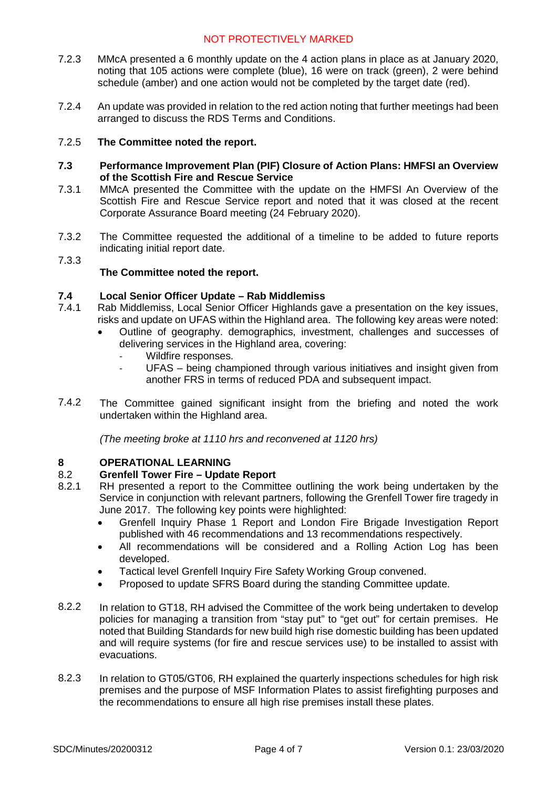- 7.2.3 MMcA presented a 6 monthly update on the 4 action plans in place as at January 2020, noting that 105 actions were complete (blue), 16 were on track (green), 2 were behind schedule (amber) and one action would not be completed by the target date (red).
- 7.2.4 An update was provided in relation to the red action noting that further meetings had been arranged to discuss the RDS Terms and Conditions.

#### 7.2.5 **The Committee noted the report.**

- **7.3 Performance Improvement Plan (PIF) Closure of Action Plans: HMFSI an Overview of the Scottish Fire and Rescue Service**
- 7.3.1 MMcA presented the Committee with the update on the HMFSI An Overview of the Scottish Fire and Rescue Service report and noted that it was closed at the recent Corporate Assurance Board meeting (24 February 2020).
- 7.3.2 The Committee requested the additional of a timeline to be added to future reports indicating initial report date.

#### 7.3.3

### **The Committee noted the report.**

#### **7.4 Local Senior Officer Update – Rab Middlemiss**

- 7.4.1 Rab Middlemiss, Local Senior Officer Highlands gave a presentation on the key issues, risks and update on UFAS within the Highland area. The following key areas were noted:
	- Outline of geography. demographics, investment, challenges and successes of delivering services in the Highland area, covering:
		- Wildfire responses.
		- UFAS being championed through various initiatives and insight given from another FRS in terms of reduced PDA and subsequent impact.
- 7.4.2 The Committee gained significant insight from the briefing and noted the work undertaken within the Highland area.

*(The meeting broke at 1110 hrs and reconvened at 1120 hrs)*

### **8 OPERATIONAL LEARNING**

### 8.2 **Grenfell Tower Fire – Update Report**

- 8.2.1 RH presented a report to the Committee outlining the work being undertaken by the Service in conjunction with relevant partners, following the Grenfell Tower fire tragedy in June 2017. The following key points were highlighted:
	- Grenfell Inquiry Phase 1 Report and London Fire Brigade Investigation Report published with 46 recommendations and 13 recommendations respectively.
	- All recommendations will be considered and a Rolling Action Log has been developed.
	- Tactical level Grenfell Inquiry Fire Safety Working Group convened.
	- Proposed to update SFRS Board during the standing Committee update.
- 8.2.2 In relation to GT18, RH advised the Committee of the work being undertaken to develop policies for managing a transition from "stay put" to "get out" for certain premises. He noted that Building Standards for new build high rise domestic building has been updated and will require systems (for fire and rescue services use) to be installed to assist with evacuations.
- 8.2.3 In relation to GT05/GT06, RH explained the quarterly inspections schedules for high risk premises and the purpose of MSF Information Plates to assist firefighting purposes and the recommendations to ensure all high rise premises install these plates.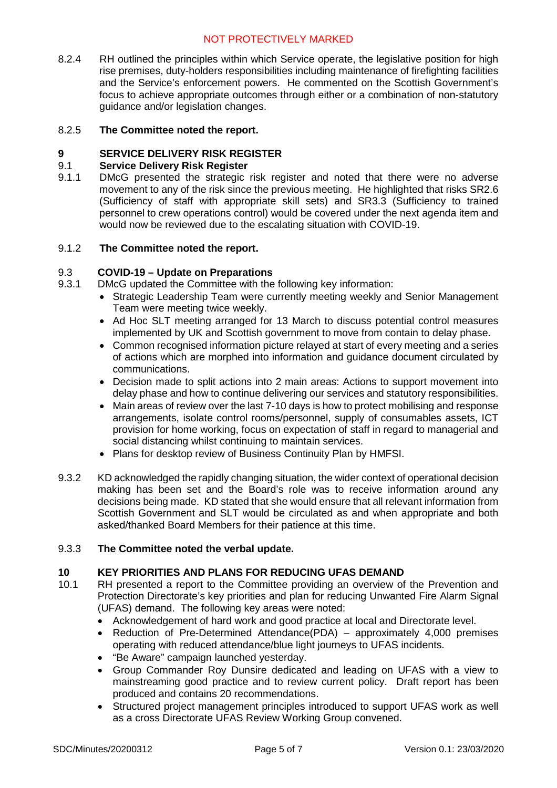8.2.4 RH outlined the principles within which Service operate, the legislative position for high rise premises, duty-holders responsibilities including maintenance of firefighting facilities and the Service's enforcement powers. He commented on the Scottish Government's focus to achieve appropriate outcomes through either or a combination of non-statutory guidance and/or legislation changes.

#### 8.2.5 **The Committee noted the report.**

#### **9 SERVICE DELIVERY RISK REGISTER**

#### 9.1 **Service Delivery Risk Register**

9.1.1 DMcG presented the strategic risk register and noted that there were no adverse movement to any of the risk since the previous meeting. He highlighted that risks SR2.6 (Sufficiency of staff with appropriate skill sets) and SR3.3 (Sufficiency to trained personnel to crew operations control) would be covered under the next agenda item and would now be reviewed due to the escalating situation with COVID-19.

#### 9.1.2 **The Committee noted the report.**

#### 9.3 **COVID-19 – Update on Preparations**

- 9.3.1 DMcG updated the Committee with the following key information:
	- Strategic Leadership Team were currently meeting weekly and Senior Management Team were meeting twice weekly.
	- Ad Hoc SLT meeting arranged for 13 March to discuss potential control measures implemented by UK and Scottish government to move from contain to delay phase.
	- Common recognised information picture relayed at start of every meeting and a series of actions which are morphed into information and guidance document circulated by communications.
	- Decision made to split actions into 2 main areas: Actions to support movement into delay phase and how to continue delivering our services and statutory responsibilities.
	- Main areas of review over the last 7-10 days is how to protect mobilising and response arrangements, isolate control rooms/personnel, supply of consumables assets, ICT provision for home working, focus on expectation of staff in regard to managerial and social distancing whilst continuing to maintain services.
	- Plans for desktop review of Business Continuity Plan by HMFSI.
- 9.3.2 KD acknowledged the rapidly changing situation, the wider context of operational decision making has been set and the Board's role was to receive information around any decisions being made. KD stated that she would ensure that all relevant information from Scottish Government and SLT would be circulated as and when appropriate and both asked/thanked Board Members for their patience at this time.

#### 9.3.3 **The Committee noted the verbal update.**

#### **10 KEY PRIORITIES AND PLANS FOR REDUCING UFAS DEMAND**

- 10.1 RH presented a report to the Committee providing an overview of the Prevention and Protection Directorate's key priorities and plan for reducing Unwanted Fire Alarm Signal (UFAS) demand. The following key areas were noted:
	- Acknowledgement of hard work and good practice at local and Directorate level.
	- Reduction of Pre-Determined Attendance(PDA) approximately 4,000 premises operating with reduced attendance/blue light journeys to UFAS incidents.
	- "Be Aware" campaign launched yesterday.
	- Group Commander Roy Dunsire dedicated and leading on UFAS with a view to mainstreaming good practice and to review current policy. Draft report has been produced and contains 20 recommendations.
	- Structured project management principles introduced to support UFAS work as well as a cross Directorate UFAS Review Working Group convened.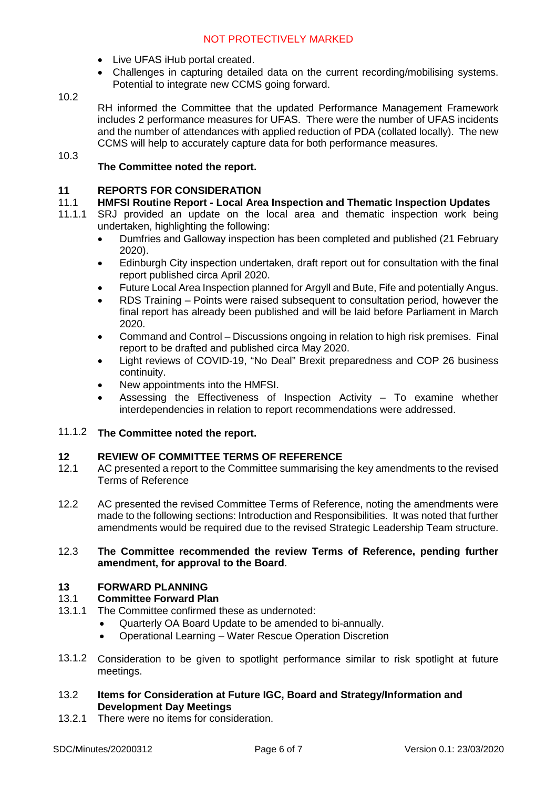- Live UFAS iHub portal created.
- Challenges in capturing detailed data on the current recording/mobilising systems. Potential to integrate new CCMS going forward.

#### 10.2

RH informed the Committee that the updated Performance Management Framework includes 2 performance measures for UFAS. There were the number of UFAS incidents and the number of attendances with applied reduction of PDA (collated locally). The new CCMS will help to accurately capture data for both performance measures.

### 10.3

#### **The Committee noted the report.**

#### **11 REPORTS FOR CONSIDERATION**

#### 11.1 **HMFSI Routine Report - Local Area Inspection and Thematic Inspection Updates**

- 11.1.1 SRJ provided an update on the local area and thematic inspection work being undertaken, highlighting the following:
	- Dumfries and Galloway inspection has been completed and published (21 February 2020).
	- Edinburgh City inspection undertaken, draft report out for consultation with the final report published circa April 2020.
	- Future Local Area Inspection planned for Argyll and Bute, Fife and potentially Angus.
	- RDS Training Points were raised subsequent to consultation period, however the final report has already been published and will be laid before Parliament in March 2020.
	- Command and Control Discussions ongoing in relation to high risk premises. Final report to be drafted and published circa May 2020.
	- Light reviews of COVID-19, "No Deal" Brexit preparedness and COP 26 business continuity.
	- New appointments into the HMFSI.
	- Assessing the Effectiveness of Inspection Activity To examine whether interdependencies in relation to report recommendations were addressed.

#### 11.1.2 **The Committee noted the report.**

#### **12 REVIEW OF COMMITTEE TERMS OF REFERENCE**

- 12.1 AC presented a report to the Committee summarising the key amendments to the revised Terms of Reference
- 12.2 AC presented the revised Committee Terms of Reference, noting the amendments were made to the following sections: Introduction and Responsibilities. It was noted that further amendments would be required due to the revised Strategic Leadership Team structure.

#### 12.3 **The Committee recommended the review Terms of Reference, pending further amendment, for approval to the Board**.

## **13 FORWARD PLANNING**

### **Committee Forward Plan**

- 13.1.1 The Committee confirmed these as undernoted:
	- Quarterly OA Board Update to be amended to bi-annually.
	- Operational Learning Water Rescue Operation Discretion
- 13.1.2 Consideration to be given to spotlight performance similar to risk spotlight at future meetings.
- 13.2 **Items for Consideration at Future IGC, Board and Strategy/Information and Development Day Meetings**
- 13.2.1 There were no items for consideration.